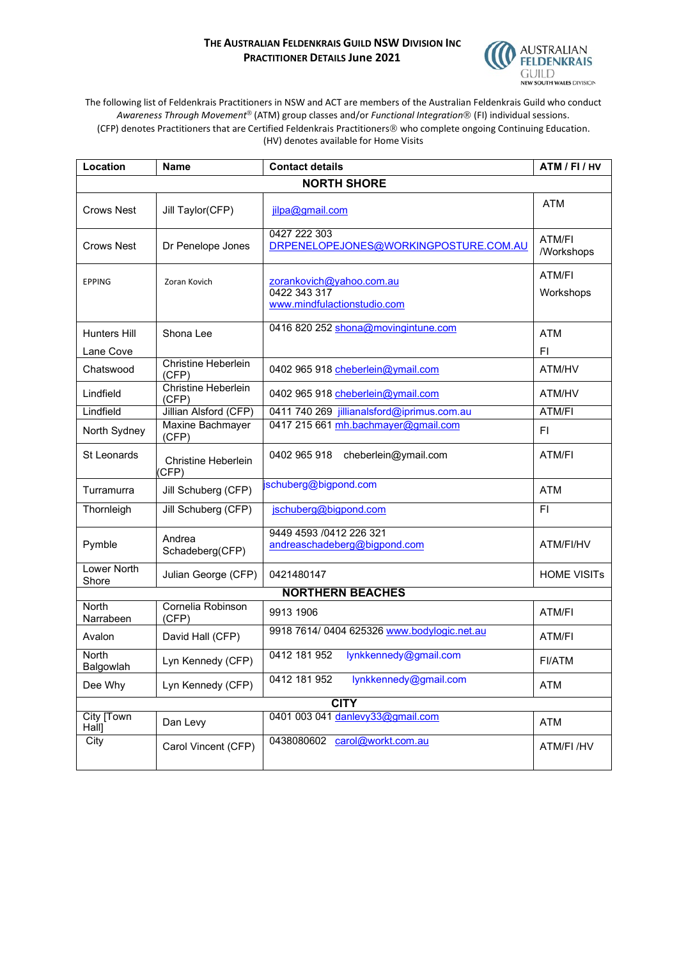## **THE AUSTRALIAN FELDENKRAIS GUILD NSW DIVISION INC PRACTITIONER DETAILS June 2021**



The following list of Feldenkrais Practitioners in NSW and ACT are members of the Australian Feldenkrais Guild who conduct Awareness Through Movement<sup>®</sup> (ATM) group classes and/or *Functional Integration®* (FI) individual sessions. (CFP) denotes Practitioners that are Certified Feldenkrais Practitioners who complete ongoing Continuing Education. (HV) denotes available for Home Visits

| Location                  | <b>Name</b>                         | <b>Contact details</b>                                                  | ATM / FI / HV               |  |  |
|---------------------------|-------------------------------------|-------------------------------------------------------------------------|-----------------------------|--|--|
| <b>NORTH SHORE</b>        |                                     |                                                                         |                             |  |  |
| <b>Crows Nest</b>         | Jill Taylor(CFP)                    | jilpa@gmail.com                                                         | <b>ATM</b>                  |  |  |
| Crows Nest                | Dr Penelope Jones                   | 0427 222 303<br>DRPENELOPEJONES@WORKINGPOSTURE.COM.AU                   | <b>ATM/FI</b><br>/Workshops |  |  |
| <b>EPPING</b>             | Zoran Kovich                        | zorankovich@yahoo.com.au<br>0422 343 317<br>www.mindfulactionstudio.com | ATM/FI<br>Workshops         |  |  |
| Hunters Hill<br>Lane Cove | Shona Lee                           | 0416 820 252 shona@movingintune.com                                     | <b>ATM</b><br>FI            |  |  |
| Chatswood                 | <b>Christine Heberlein</b><br>(CFP) | 0402 965 918 cheberlein@ymail.com                                       | ATM/HV                      |  |  |
| Lindfield                 | <b>Christine Heberlein</b><br>(CFP) | 0402 965 918 cheberlein@ymail.com                                       | ATM/HV                      |  |  |
| Lindfield                 | Jillian Alsford (CFP)               | 0411 740 269 jillianalsford@iprimus.com.au                              | ATM/FI                      |  |  |
| North Sydney              | Maxine Bachmayer<br>(CFP)           | 0417 215 661 mh.bachmayer@gmail.com                                     | FI.                         |  |  |
| <b>St Leonards</b>        | <b>Christine Heberlein</b><br>(CFP) | 0402 965 918<br>cheberlein@ymail.com                                    | ATM/FI                      |  |  |
| Turramurra                | Jill Schuberg (CFP)                 | schuberg@bigpond.com                                                    | <b>ATM</b>                  |  |  |
| Thornleigh                | Jill Schuberg (CFP)                 | jschuberg@bigpond.com                                                   | FI.                         |  |  |
| Pymble                    | Andrea<br>Schadeberg(CFP)           | 9449 4593 /0412 226 321<br>andreaschadeberg@bigpond.com                 | ATM/FI/HV                   |  |  |
| Lower North<br>Shore      | Julian George (CFP)                 | 0421480147                                                              | <b>HOME VISITs</b>          |  |  |
|                           | <b>NORTHERN BEACHES</b>             |                                                                         |                             |  |  |
| North<br>Narrabeen        | Cornelia Robinson<br>(CFP)          | 9913 1906                                                               | ATM/FI                      |  |  |
| Avalon                    | David Hall (CFP)                    | 9918 7614/ 0404 625326 www.bodylogic.net.au                             | ATM/FI                      |  |  |
| <b>North</b><br>Balgowlah | Lyn Kennedy (CFP)                   | lynkkennedy@gmail.com<br>0412 181 952                                   | FI/ATM                      |  |  |
| Dee Why                   | Lyn Kennedy (CFP)                   | 0412 181 952<br>lynkkennedy@gmail.com                                   | <b>ATM</b>                  |  |  |
| <b>CITY</b>               |                                     |                                                                         |                             |  |  |
| City [Town<br>Hall]       | Dan Levy                            | 0401 003 041 danlevy33@gmail.com                                        | <b>ATM</b>                  |  |  |
| City                      | Carol Vincent (CFP)                 | 0438080602 carol@workt.com.au                                           | ATM/FI/HV                   |  |  |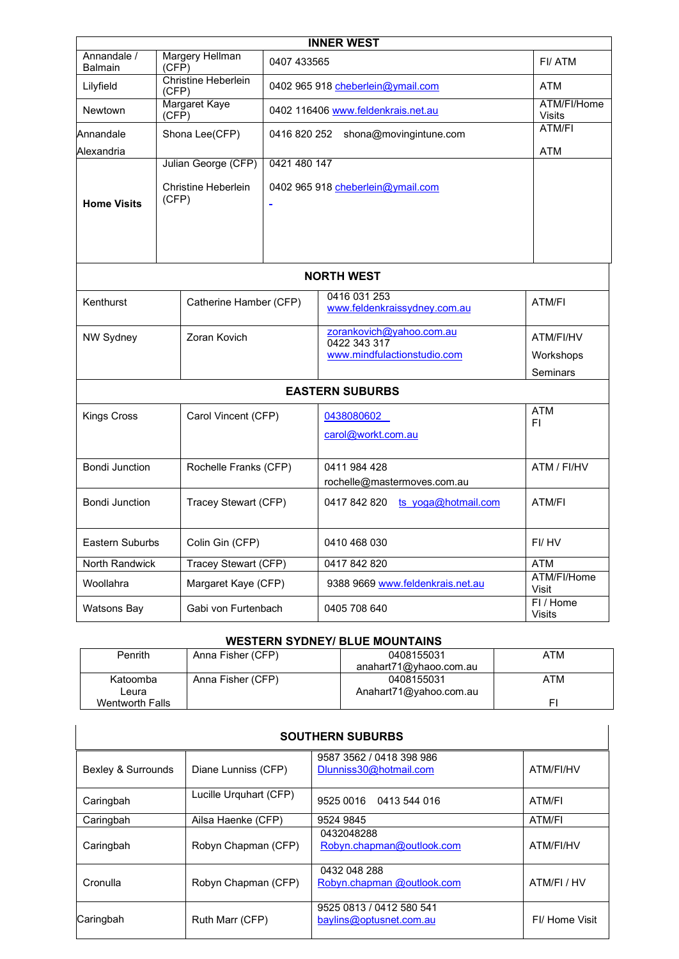| <b>INNER WEST</b>                                    |                                 |                                                   |                                     |                                                                         |                                           |
|------------------------------------------------------|---------------------------------|---------------------------------------------------|-------------------------------------|-------------------------------------------------------------------------|-------------------------------------------|
| Annandale /<br><b>Balmain</b>                        | <b>Margery Hellman</b><br>(CFP) |                                                   | 0407 433565                         |                                                                         | FI/ATM                                    |
| <b>Christine Heberlein</b><br>Lilyfield<br>(CFP)     |                                 | 0402 965 918 cheberlein@ymail.com                 |                                     | <b>ATM</b>                                                              |                                           |
| Margaret Kaye<br>Newtown<br>$(CF\check{P})$          |                                 | 0402 116406 www.feldenkrais.net.au                |                                     | ATM/FI/Home<br><b>Visits</b>                                            |                                           |
| Annandale                                            |                                 | Shona Lee(CFP)                                    | 0416 820 252 shona@movingintune.com |                                                                         | ATM/FI                                    |
| Alexandria                                           |                                 |                                                   |                                     |                                                                         | <b>ATM</b>                                |
| <b>Home Visits</b>                                   | (CFP)                           | Julian George (CFP)<br><b>Christine Heberlein</b> | 0421 480 147                        | 0402 965 918 cheberlein@ymail.com                                       |                                           |
|                                                      |                                 |                                                   |                                     | <b>NORTH WEST</b>                                                       |                                           |
| Kenthurst                                            |                                 | Catherine Hamber (CFP)                            |                                     | 0416 031 253<br>www.feldenkraissydney.com.au                            | ATM/FI                                    |
| NW Sydney                                            |                                 | Zoran Kovich                                      |                                     | zorankovich@yahoo.com.au<br>0422 343 317<br>www.mindfulactionstudio.com | ATM/FI/HV<br>Workshops<br><b>Seminars</b> |
|                                                      |                                 |                                                   |                                     | <b>EASTERN SUBURBS</b>                                                  |                                           |
| <b>Kings Cross</b>                                   |                                 | Carol Vincent (CFP)                               |                                     | 0438080602<br>carol@workt.com.au                                        | <b>ATM</b><br>FI                          |
| Bondi Junction                                       |                                 | Rochelle Franks (CFP)                             |                                     | 0411 984 428<br>rochelle@mastermoves.com.au                             | ATM / FI/HV                               |
| <b>Bondi Junction</b>                                |                                 | Tracey Stewart (CFP)                              |                                     | 0417 842 820 ts $yoga@hotmail.com$                                      | ATM/FI                                    |
| <b>Eastern Suburbs</b><br>Colin Gin (CFP)            |                                 |                                                   | 0410 468 030                        | FI/HV                                                                   |                                           |
| <b>Tracey Stewart (CFP)</b><br><b>North Randwick</b> |                                 |                                                   | 0417 842 820                        | <b>ATM</b>                                                              |                                           |
| Woollahra                                            |                                 | Margaret Kaye (CFP)                               |                                     | 9388 9669 www.feldenkrais.net.au                                        | ATM/FI/Home<br>Visit                      |
| Watsons Bay                                          |                                 | Gabi von Furtenbach                               |                                     | 0405 708 640                                                            | FI/Home<br>Visits                         |

## **WESTERN SYDNEY/ BLUE MOUNTAINS**

| <b>Penrith</b>  | Anna Fisher (CFP) | 0408155031             | ATM |
|-----------------|-------------------|------------------------|-----|
|                 |                   | anahart71@yhaoo.com.au |     |
| Katoomba        | Anna Fisher (CFP) | 0408155031             | ATM |
| Leura           |                   | Anahart71@yahoo.com.au |     |
| Wentworth Falls |                   |                        | FI  |

| <b>SOUTHERN SUBURBS</b> |                        |                                                     |               |  |
|-------------------------|------------------------|-----------------------------------------------------|---------------|--|
| Bexley & Surrounds      | Diane Lunniss (CFP)    | 9587 3562 / 0418 398 986<br>Dlunniss30@hotmail.com  | ATM/FI/HV     |  |
| Caringbah               | Lucille Urquhart (CFP) | 9525 0016 0413 544 016                              | ATM/FI        |  |
| Caringbah               | Ailsa Haenke (CFP)     | 9524 9845                                           | ATM/FI        |  |
| Caringbah               | Robyn Chapman (CFP)    | 0432048288<br>Robyn.chapman@outlook.com             | ATM/FI/HV     |  |
| Cronulla                | Robyn Chapman (CFP)    | 0432 048 288<br>Robyn.chapman @outlook.com          | ATM/FI / HV   |  |
| Caringbah               | Ruth Marr (CFP)        | 9525 0813 / 0412 580 541<br>baylins@optusnet.com.au | FI/Home Visit |  |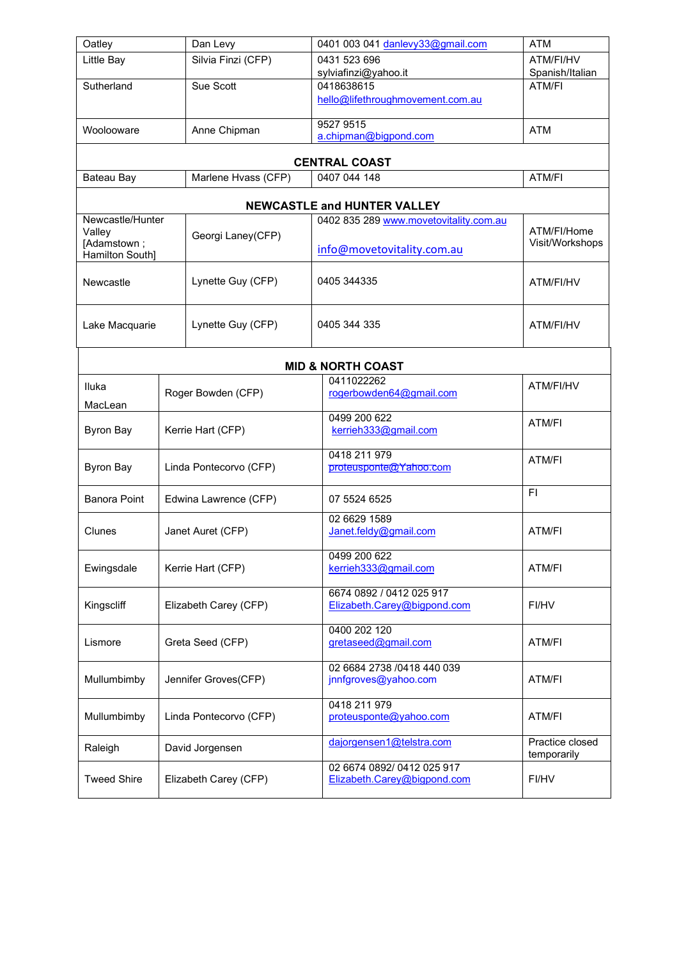| Oatley                         | Dan Levy               | 0401 003 041 danlevy33@gmail.com       | <b>ATM</b>                     |  |
|--------------------------------|------------------------|----------------------------------------|--------------------------------|--|
| Little Bay                     | Silvia Finzi (CFP)     | 0431 523 696                           | ATM/FI/HV                      |  |
|                                |                        | sylviafinzi@yahoo.it                   | Spanish/Italian                |  |
| Sutherland                     | Sue Scott              | 0418638615                             | ATM/FI                         |  |
|                                |                        | hello@lifethroughmovement.com.au       |                                |  |
|                                |                        | 9527 9515                              |                                |  |
| Woolooware                     | Anne Chipman           | a.chipman@bigpond.com                  | <b>ATM</b>                     |  |
|                                |                        |                                        |                                |  |
|                                |                        | <b>CENTRAL COAST</b>                   |                                |  |
| Bateau Bay                     | Marlene Hvass (CFP)    | 0407 044 148                           | ATM/FI                         |  |
|                                |                        | <b>NEWCASTLE and HUNTER VALLEY</b>     |                                |  |
| Newcastle/Hunter               |                        | 0402 835 289 www.movetovitality.com.au |                                |  |
| Valley                         | Georgi Laney(CFP)      |                                        | ATM/FI/Home<br>Visit/Workshops |  |
| [Adamstown;<br>Hamilton South] |                        | info@movetovitality.com.au             |                                |  |
|                                |                        |                                        |                                |  |
| Newcastle                      | Lynette Guy (CFP)      | 0405 344335                            | ATM/FI/HV                      |  |
|                                |                        |                                        |                                |  |
|                                |                        |                                        |                                |  |
| Lake Macquarie                 | Lynette Guy (CFP)      | 0405 344 335                           | ATM/FI/HV                      |  |
|                                |                        |                                        |                                |  |
|                                |                        | <b>MID &amp; NORTH COAST</b>           |                                |  |
| Iluka                          |                        | 0411022262                             | ATM/FI/HV                      |  |
|                                | Roger Bowden (CFP)     | rogerbowden64@gmail.com                |                                |  |
| MacLean                        |                        | 0499 200 622                           |                                |  |
| <b>Byron Bay</b>               | Kerrie Hart (CFP)      | kerrieh333@gmail.com                   | ATM/FI                         |  |
|                                |                        |                                        |                                |  |
| <b>Byron Bay</b>               | Linda Pontecorvo (CFP) | 0418 211 979<br>proteusponte@Yahoo.com | ATM/FI                         |  |
|                                |                        |                                        |                                |  |
| <b>Banora Point</b>            | Edwina Lawrence (CFP)  | 07 5524 6525                           | FI.                            |  |
|                                |                        |                                        |                                |  |
|                                |                        | 02 6629 1589                           |                                |  |
| Clunes                         | Janet Auret (CFP)      | Janet.feldy@gmail.com                  | ATM/FI                         |  |
|                                |                        | 0499 200 622                           |                                |  |
| Ewingsdale                     | Kerrie Hart (CFP)      | kerrieh333@gmail.com                   | ATM/FI                         |  |
|                                |                        | 6674 0892 / 0412 025 917               |                                |  |
| Kingscliff                     | Elizabeth Carey (CFP)  | Elizabeth.Carey@bigpond.com            | FI/HV                          |  |
|                                |                        |                                        |                                |  |
|                                |                        | 0400 202 120                           |                                |  |
| Lismore                        | Greta Seed (CFP)       | gretaseed@gmail.com                    | ATM/FI                         |  |
| 02 6684 2738 /0418 440 039     |                        |                                        |                                |  |
| Mullumbimby                    | Jennifer Groves(CFP)   | jnnfgroves@yahoo.com                   | ATM/FI                         |  |
|                                |                        |                                        |                                |  |
|                                |                        | 0418 211 979                           |                                |  |
| Mullumbimby                    | Linda Pontecorvo (CFP) | proteusponte@yahoo.com                 | ATM/FI                         |  |
|                                |                        | dajorgensen1@telstra.com               | Practice closed                |  |
| Raleigh<br>David Jorgensen     |                        |                                        | temporarily                    |  |
|                                |                        | 02 6674 0892/0412 025 917              |                                |  |
| <b>Tweed Shire</b>             | Elizabeth Carey (CFP)  | Elizabeth.Carey@bigpond.com            | FI/HV                          |  |